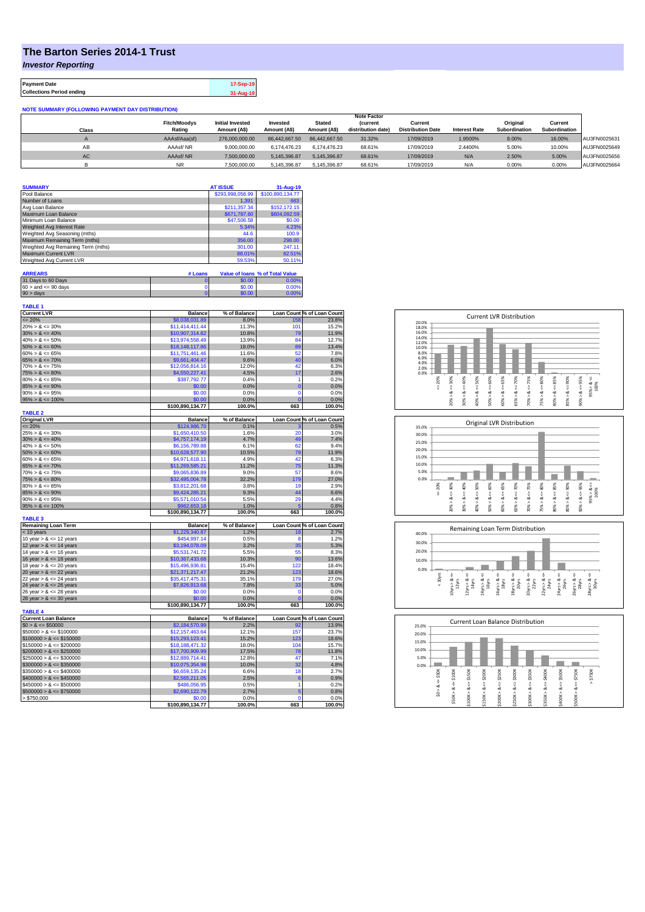## **The Barton Series 2014-1 Trust**

*Investor Reporting*

**Payment Date 17-Sep-19 Collections Period ending 31-Aug-19**

| <b>NOTE SUMMARY (FOLLOWING PAYMENT DAY DISTRIBUTION)</b> |                     |                         |               |               |                    |                          |                      |               |               |              |
|----------------------------------------------------------|---------------------|-------------------------|---------------|---------------|--------------------|--------------------------|----------------------|---------------|---------------|--------------|
|                                                          |                     |                         |               |               | <b>Note Factor</b> |                          |                      |               |               |              |
|                                                          | <b>Fitch/Moodvs</b> | <b>Initial Invested</b> | Invested      | <b>Stated</b> | <b>(current</b>    | Current                  |                      | Original      | Current       |              |
| Class                                                    | Rating              | Amount (A\$)            | Amount (A\$)  | Amount (A\$)  | distribution date) | <b>Distribution Date</b> | <b>Interest Rate</b> | Subordination | Subordination |              |
|                                                          | AAAsf/Aaa(sf)       | 276.000.000.00          | 86.442.667.50 | 86.442.667.50 | 31.32%             | 17/09/2019               | 1.9500%              | 8.00%         | 16.00%        | AU3FN0025631 |
| AB                                                       | AAAsf/NR            | 9.000.000.00            | 6.174.476.23  | 6.174.476.23  | 68.61%             | 17/09/2019               | 2.4400%              | 5.00%         | 10.00%        | AU3FN0025649 |
| AC                                                       | AAAsf/NR            | 7.500.000.00            | 5.145.396.87  | 5.145.396.87  | 68.61%             | 17/09/2019               | N/A                  | 2.50%         | 5.00%         | AU3FN0025656 |
|                                                          | NR.                 | 7.500.000.00            | 5,145,396.87  | 5.145.396.87  | 68.61%             | 17/09/2019               | N/A                  | 0.00%         | 0.00%         | AU3FN0025664 |

| <b>SUMMARY</b>                     |         | <b>AT ISSUE</b>  | 31-Aug-19                       |
|------------------------------------|---------|------------------|---------------------------------|
| Pool Balance                       |         | \$293.998.056.99 | \$100.890.134.77                |
| Number of Loans                    |         | 1.391            | 663                             |
| Avg Loan Balance                   |         | \$211.357.34     | \$152,172.15                    |
| Maximum Loan Balance               |         | \$671,787.60     | \$604.092.59                    |
| Minimum Loan Balance               |         | \$47,506.58      | \$0.00                          |
| Weighted Avg Interest Rate         |         | 5.34%            | 4.23%                           |
| Weighted Avg Seasoning (mths)      |         | 44.6             | 100.9                           |
| Maximum Remaining Term (mths)      |         | 356.00           | 298.00                          |
| Weighted Avg Remaining Term (mths) |         | 301.00           | 247.11                          |
| Maximum Current LVR                |         | 88.01%           | 82.51%                          |
| Weighted Avg Current LVR           |         | 59.53%           | 50.11%                          |
| <b>ARREARS</b>                     | # Loans |                  | Value of Ioans % of Total Value |

| 31 Days to 60 Days        | 0.00   |       |
|---------------------------|--------|-------|
| $60 >$ and $\leq 90$ days | \$0.00 | 0.00% |
| $90 >$ days               | 60.00  |       |
|                           |        |       |
| <b>TARLE 1</b>            |        |       |

| .                           |                  |              |                |                                                                                                                                                                         |
|-----------------------------|------------------|--------------|----------------|-------------------------------------------------------------------------------------------------------------------------------------------------------------------------|
| <b>Current LVR</b>          | <b>Balance</b>   | % of Balance |                | Loan Count % of Loan Count                                                                                                                                              |
| $\leq$ 20%                  | \$8.038.031.89   | 8.0%         | 158            | 23.8%                                                                                                                                                                   |
| $20\% > 8 \le 30\%$         | \$11,414,411.44  | 11.3%        | 101            | 15.2%                                                                                                                                                                   |
| $30\% > 8 \le 40\%$         | \$10,907,314.82  | 10.8%        | 79             | 11.9%                                                                                                                                                                   |
| $40\% > 8 \le 50\%$         | \$13,974,558.49  | 13.9%        | 84             | 12.7%                                                                                                                                                                   |
| $50\% > 8 \le 60\%$         | \$18,148,117.86  | 18.0%        | 89             | 13.4%                                                                                                                                                                   |
| $60\% > 8 \le 65\%$         | \$11,751,461.46  | 11.6%        | 52             | 7.8%                                                                                                                                                                    |
| $65\% > 8 \le 70\%$         | \$9,661,404.47   | 9.6%         | 40             | 6.0%                                                                                                                                                                    |
| $70\% > 8 \le 75\%$         | \$12,056,814.16  | 12.0%        | 42             | 6.3%                                                                                                                                                                    |
| $75\% > 8 \le 80\%$         | \$4,550,227.41   | 4.5%         | 17             | 2.6%                                                                                                                                                                    |
| $80\% > 8 \le 85\%$         | \$387,792.77     | 0.4%         | $\overline{1}$ | 0.2%                                                                                                                                                                    |
| $85\% > 8 \le 90\%$         | \$0.00           | 0.0%         | $\overline{0}$ | 0.0%                                                                                                                                                                    |
| $90\% > 8 \le 95\%$         | \$0.00           | 0.0%         | $\mathbf 0$    | 0.0%                                                                                                                                                                    |
| $95\% > 8 \le 100\%$        | \$0.00           | 0.0%         | Ō              | 0.0%                                                                                                                                                                    |
|                             | \$100,890,134.77 | 100.0%       | 663            | 100.0%                                                                                                                                                                  |
| <b>TABLE 2</b>              |                  |              |                |                                                                                                                                                                         |
| <b>Original LVR</b>         | <b>Balance</b>   | % of Balance |                | Loan Count % of Loan Count                                                                                                                                              |
| $= 20%$                     | \$124,986.70     | 0.1%         |                | 0.5%                                                                                                                                                                    |
| $25\% > 8 \le 30\%$         | \$1,650,410.50   | 1.6%         | 20             | 3.0%                                                                                                                                                                    |
| $30\% > 8 \le 40\%$         | \$4,757,174.19   | 4.7%         | 49             | 7.4%                                                                                                                                                                    |
| $40\% > 8 \le 50\%$         | \$6,156,789.88   | 6.1%         | 62             | 9.4%                                                                                                                                                                    |
| $50\% > 8 \le 60\%$         | \$10,628,577.90  | 10.5%        | 79             | 11.9%                                                                                                                                                                   |
| $60\% > 8 \le 65\%$         | \$4,971,618.11   | 4.9%         | 42             | 6.3%                                                                                                                                                                    |
| $65\% > 8 \le 70\%$         | \$11,269,585.21  | 11.2%        | 75             | 11.3%                                                                                                                                                                   |
| $70\% > 8 \le 75\%$         | \$9,065,836.89   | 9.0%         | 57             | 8.6%                                                                                                                                                                    |
| $75\% > 8 \le 80\%$         | \$32,495,004.78  | 32.2%        | 179            | 27.0%                                                                                                                                                                   |
| $80\% > 8 \le 85\%$         | \$3,812,201.68   | 3.8%         | 19             | 2.9%                                                                                                                                                                    |
| $85\% > 8 \le 90\%$         | \$9,424,285.21   | 9.3%         | 44             | 6.6%                                                                                                                                                                    |
| $90\% > 8 \le 95\%$         | \$5,571,010.54   | 5.5%         | 29             | 4.4%                                                                                                                                                                    |
|                             |                  |              |                |                                                                                                                                                                         |
|                             | \$962,653.18     | 1.0%         | F              |                                                                                                                                                                         |
| $95\% > 8 \le 100\%$        | \$100,890,134.77 | 100.0%       | 663            | 0.8%<br>100.0%                                                                                                                                                          |
| <b>TABLE 3</b>              |                  |              |                |                                                                                                                                                                         |
| Remaining Loan Term         | <b>Balance</b>   | % of Balance |                |                                                                                                                                                                         |
| < 10 years                  | \$1,229,340.87   | 1.2%         | 18             |                                                                                                                                                                         |
| 10 year $> 8 \le 12$ years  | \$454,997.14     | 0.5%         | 8              |                                                                                                                                                                         |
| 12 year $> 8 \le 14$ years  | \$3,194,078.09   | 3.2%         | 35             |                                                                                                                                                                         |
| 14 year $> 8 \le 16$ years  | \$5,531,741.72   | 5.5%         | 55             |                                                                                                                                                                         |
| 16 year $> 8 \le 18$ years  | \$10,367,433.68  | 10.3%        | 90             |                                                                                                                                                                         |
| 18 year $> 8 \le 20$ years  | \$15,496,936.81  | 15.4%        | 122            |                                                                                                                                                                         |
| 20 year $> 8 \le 22$ years  | \$21,371,217.47  | 21.2%        | 123            |                                                                                                                                                                         |
| 22 year $> 8 \le 24$ years  | \$35,417,475.31  | 35.1%        | 179            |                                                                                                                                                                         |
| 24 year $> 8 \le 26$ years  | \$7,826,913.68   | 7.8%         | 33             |                                                                                                                                                                         |
| 26 year $> 8 \le 28$ years  | \$0.00           | 0.0%         | $\mathbf 0$    |                                                                                                                                                                         |
| 28 year $> 8 \le 30$ years  | \$0.00           | 0.0%         | $\overline{0}$ |                                                                                                                                                                         |
|                             | \$100,890,134.77 | 100.0%       | 663            |                                                                                                                                                                         |
| <b>TABLE 4</b>              |                  |              |                |                                                                                                                                                                         |
| <b>Current Loan Balance</b> | <b>Balance</b>   | % of Balance |                |                                                                                                                                                                         |
| $$0 > 8 \le $50000$         | \$2,184,570.99   | 2.2%         | 92             | Loan Count % of Loan Count<br>2.7%<br>1.2%<br>5.3%<br>8.3%<br>13.6%<br>18.4%<br>18.6%<br>27.0%<br>5.0%<br>0.0%<br>0.0%<br>100.0%<br>Loan Count % of Loan Count<br>13.9% |
| $$50000 > 8 \le $100000$    | \$12,157,463.64  | 12.1%        | 157            | 23.7%                                                                                                                                                                   |
| $$100000 > 8 \le $150000$   | \$15,293,123.41  | 15.2%        | 123            | 18.6%                                                                                                                                                                   |
| $$150000 > 8 \le $200000$   | \$18,188,471.32  | 18.0%        | 104            | 15.7%                                                                                                                                                                   |
| $$200000 > 8 \leq $250000$  | \$17,700,909.99  | 17.5%        | 78             | 11.8%                                                                                                                                                                   |
| $$250000 > 8 \leq $300000$  | \$12,889,714.41  | 12.8%        | 47             | 7.1%                                                                                                                                                                    |
| $$300000 > 8 \leq $350000$  | \$10,075,354.98  | 10.0%        | 32             | 4.8%                                                                                                                                                                    |
| $$350000 > 8 \le $400000$   | \$6,659,135.24   | 6.6%         | 18             | 2.7%                                                                                                                                                                    |
| $$400000 > 8 \le $450000$   | \$2,565,211.05   | 2.5%         | 6              | 0.9%                                                                                                                                                                    |
| $$450000 > 8 \leq $500000$  | \$486,056.95     | 0.5%         | 1              | 0.2%                                                                                                                                                                    |
| $$500000 > 8 \le $750000$   | \$2,690,122.79   | 2.7%         | 5              | 0.8%                                                                                                                                                                    |
| > \$750,000                 | \$0.00           | 0.0%         | $\mathbf 0$    | 0.0%                                                                                                                                                                    |







| 25.0%   | Current Loan Balance Distribution |         |                  |        |             |        |         |        |
|---------|-----------------------------------|---------|------------------|--------|-------------|--------|---------|--------|
| 20.0%   |                                   |         |                  |        |             |        |         |        |
| 15.0%   |                                   |         |                  |        |             |        |         |        |
| 10.0%   |                                   |         |                  |        |             |        |         |        |
| 5.0%    |                                   |         |                  |        |             |        |         |        |
| 0.0%    |                                   |         |                  |        |             |        |         |        |
| \$50K   | \$150K<br>\$100K                  | \$200K  | \$300K<br>\$250K | \$350K | $4 = 5400K$ | \$500K | \$750K  | \$750K |
| ő       |                                   |         |                  |        |             |        |         | ٨      |
| ∞       | ű<br>ő<br>ಯ<br>œ                  | ₩<br>ಜ  | ű<br>ΰ<br>ಜ<br>œ | U<br>œ | ಹ           | υ<br>œ | V<br>∞  |        |
| ٨<br>S. | \$50K><br>Λ                       | \$150K> | \$250K><br>٨     | Λ      | \$350K>     | Λ      | \$500K> |        |
|         | \$100K                            |         | \$200K           | \$300K |             | \$400K |         |        |